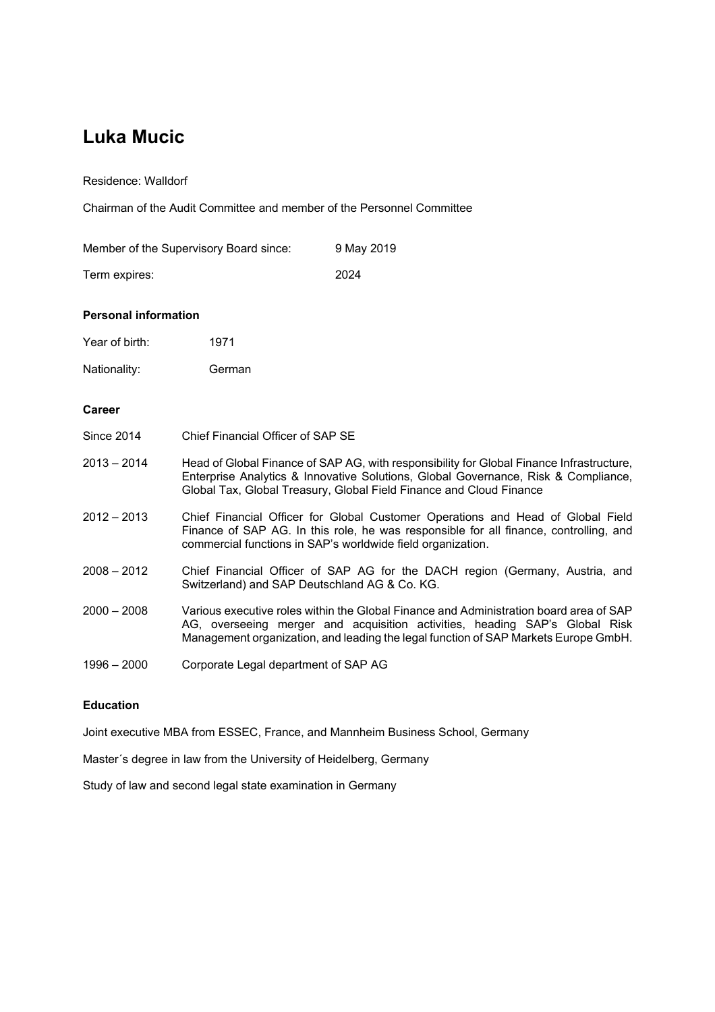# **Luka Mucic**

Residence: Walldorf

Chairman of the Audit Committee and member of the Personnel Committee

| Member of the Supervisory Board since: | 9 May 2019 |
|----------------------------------------|------------|
| Term expires:                          | 2024       |

### **Personal information**

Year of birth: 1971

Nationality: German

#### **Career**

| <b>Since 2014</b> | Chief Financial Officer of SAP SE |  |
|-------------------|-----------------------------------|--|
|                   |                                   |  |

- 2013 2014 Head of Global Finance of SAP AG, with responsibility for Global Finance Infrastructure, Enterprise Analytics & Innovative Solutions, Global Governance, Risk & Compliance, Global Tax, Global Treasury, Global Field Finance and Cloud Finance
- 2012 2013 Chief Financial Officer for Global Customer Operations and Head of Global Field Finance of SAP AG. In this role, he was responsible for all finance, controlling, and commercial functions in SAP's worldwide field organization.
- 2008 2012 Chief Financial Officer of SAP AG for the DACH region (Germany, Austria, and Switzerland) and SAP Deutschland AG & Co. KG.
- 2000 2008 Various executive roles within the Global Finance and Administration board area of SAP AG, overseeing merger and acquisition activities, heading SAP's Global Risk Management organization, and leading the legal function of SAP Markets Europe GmbH.
- 1996 2000 Corporate Legal department of SAP AG

#### **Education**

Joint executive MBA from ESSEC, France, and Mannheim Business School, Germany

Master´s degree in law from the University of Heidelberg, Germany

Study of law and second legal state examination in Germany